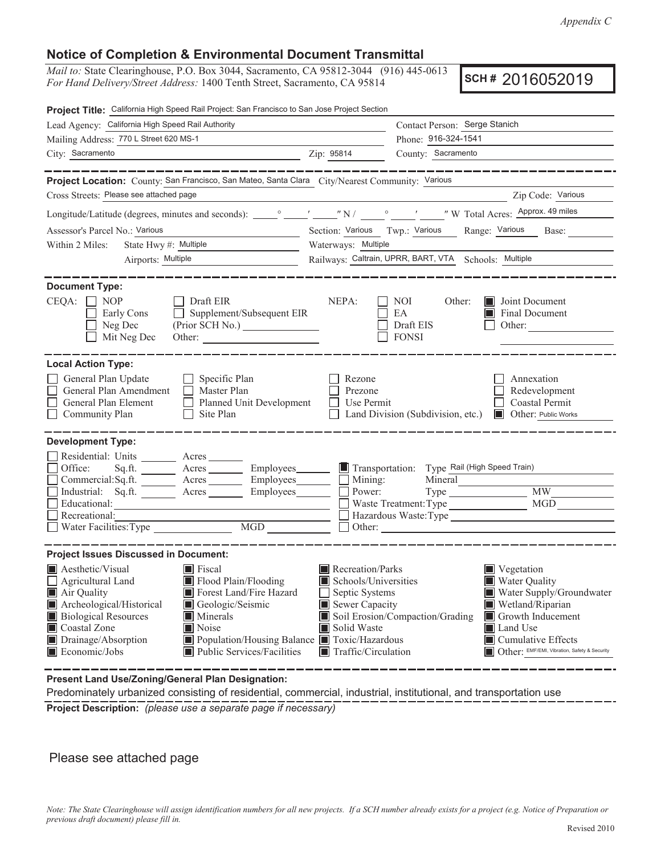## **Notice of Completion & Environmental Document Transmittal**

*Mail to:* State Clearinghouse, P.O. Box 3044, Sacramento, CA 95812-3044 (916) 445-0613 *For Hand Delivery/Street Address:* 1400 Tenth Street, Sacramento, CA 95814 **SCH # 2016052019** 

| Project Title: California High Speed Rail Project: San Francisco to San Jose Project Section                                                                                                                                                                                                                                                                                             |                                                                                                                                                  |                                                                            |                                                                                                                                                                                                   |  |  |  |  |
|------------------------------------------------------------------------------------------------------------------------------------------------------------------------------------------------------------------------------------------------------------------------------------------------------------------------------------------------------------------------------------------|--------------------------------------------------------------------------------------------------------------------------------------------------|----------------------------------------------------------------------------|---------------------------------------------------------------------------------------------------------------------------------------------------------------------------------------------------|--|--|--|--|
| Lead Agency: California High Speed Rail Authority                                                                                                                                                                                                                                                                                                                                        | Contact Person: Serge Stanich                                                                                                                    |                                                                            |                                                                                                                                                                                                   |  |  |  |  |
| Mailing Address: 770 L Street 620 MS-1                                                                                                                                                                                                                                                                                                                                                   |                                                                                                                                                  | Phone: 916-324-1541                                                        |                                                                                                                                                                                                   |  |  |  |  |
| City: Sacramento                                                                                                                                                                                                                                                                                                                                                                         | Zip: 95814                                                                                                                                       | County: Sacramento                                                         |                                                                                                                                                                                                   |  |  |  |  |
|                                                                                                                                                                                                                                                                                                                                                                                          |                                                                                                                                                  |                                                                            |                                                                                                                                                                                                   |  |  |  |  |
| Project Location: County: San Francisco, San Mateo, Santa Clara City/Nearest Community: Various                                                                                                                                                                                                                                                                                          |                                                                                                                                                  |                                                                            |                                                                                                                                                                                                   |  |  |  |  |
| Cross Streets: Please see attached page                                                                                                                                                                                                                                                                                                                                                  |                                                                                                                                                  |                                                                            | Zip Code: Various                                                                                                                                                                                 |  |  |  |  |
|                                                                                                                                                                                                                                                                                                                                                                                          |                                                                                                                                                  |                                                                            |                                                                                                                                                                                                   |  |  |  |  |
| Assessor's Parcel No.: Various                                                                                                                                                                                                                                                                                                                                                           | Section: Various Twp.: Various<br>Range: Various Base:                                                                                           |                                                                            |                                                                                                                                                                                                   |  |  |  |  |
| State Hwy #: Multiple<br>Within 2 Miles:                                                                                                                                                                                                                                                                                                                                                 | Waterways: Multiple                                                                                                                              |                                                                            |                                                                                                                                                                                                   |  |  |  |  |
| Airports: Multiple                                                                                                                                                                                                                                                                                                                                                                       | Railways: Caltrain, UPRR, BART, VTA Schools: Multiple                                                                                            |                                                                            |                                                                                                                                                                                                   |  |  |  |  |
| <b>Document Type:</b><br>$CEQA: \Box NP$<br>Draft EIR<br>$\Box$ Supplement/Subsequent EIR<br>Early Cons<br>Neg Dec<br>(Prior SCH No.)<br>Mit Neg Dec                                                                                                                                                                                                                                     | NEPA:                                                                                                                                            | NOI -<br>Other:<br>EA<br>Draft EIS<br><b>FONSI</b>                         | <b>Joint Document</b><br>Final Document<br>Other:                                                                                                                                                 |  |  |  |  |
| <b>Local Action Type:</b>                                                                                                                                                                                                                                                                                                                                                                |                                                                                                                                                  |                                                                            |                                                                                                                                                                                                   |  |  |  |  |
| General Plan Update<br>$\Box$ Specific Plan<br>General Plan Amendment<br>$\Box$ Master Plan<br>Planned Unit Development<br>General Plan Element<br>$\Box$ Site Plan<br>Community Plan                                                                                                                                                                                                    | Rezone<br>Prezone<br>$\Box$ Use Permit                                                                                                           | □ Land Division (Subdivision, etc.) ■ Other: Public Works                  | Annexation<br>Redevelopment<br>Coastal Permit                                                                                                                                                     |  |  |  |  |
| <b>Development Type:</b>                                                                                                                                                                                                                                                                                                                                                                 |                                                                                                                                                  |                                                                            |                                                                                                                                                                                                   |  |  |  |  |
| Residential: Units ________ Acres _______<br>Office:<br>Sq.ft. _________ Acres _________ Employees _______ Let Transportation: Type Rail (High Speed Train)<br>Commercial:Sq.ft. ________ Acres _________ Employees ________ __ Mining:<br>Industrial: Sq.ft. Acres Employees Berediction<br>Educational:<br>Recreational:<br>Necreauonal:<br>Water Facilities: Type MGD                 |                                                                                                                                                  | Mineral<br>Waste Treatment: Type<br>Hazardous Waste: Type<br>$\Box$ Other: | MW<br>MGD                                                                                                                                                                                         |  |  |  |  |
| <b>Project Issues Discussed in Document:</b>                                                                                                                                                                                                                                                                                                                                             |                                                                                                                                                  |                                                                            |                                                                                                                                                                                                   |  |  |  |  |
| <b>A</b> Aesthetic/Visual<br>Fiscal<br>Flood Plain/Flooding<br>$\Box$ Agricultural Land<br>Air Quality<br>Forest Land/Fire Hazard<br>Archeological/Historical<br>Geologic/Seismic<br><b>Biological Resources</b><br>Minerals<br>Coastal Zone<br>Noise<br>Drainage/Absorption<br>Population/Housing Balance Toxic/Hazardous<br>Economic/Jobs<br>$\blacksquare$ Public Services/Facilities | Recreation/Parks<br>$\blacksquare$ Schools/Universities<br>Septic Systems<br>Sewer Capacity<br>Solid Waste<br>$\blacksquare$ Traffic/Circulation | Soil Erosion/Compaction/Grading                                            | Vegetation<br>Water Quality<br>Water Supply/Groundwater<br>Wetland/Riparian<br>Growth Inducement<br>Land Use<br>$\blacksquare$ Cumulative Effects<br>Other: EMF/EMI, Vibration, Safety & Security |  |  |  |  |

**Present Land Use/Zoning/General Plan Designation:** 

 Predominately urbanized consisting of residential, commercial, industrial, institutional, and transportation use **Project Description:** *(please use a separate page if necessary)* 

#### Please see attached page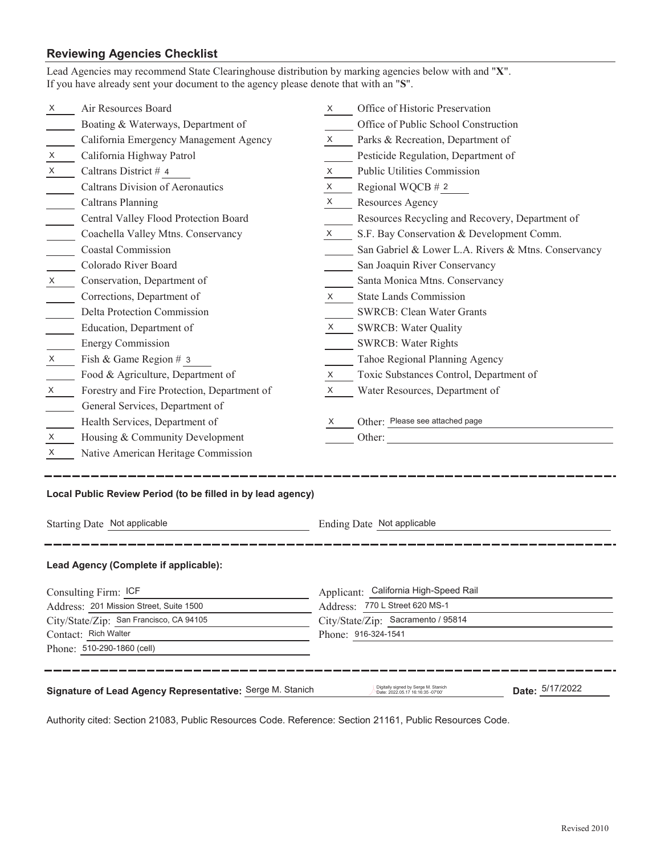# **Reviewing Agencies Checklist**<br>Lead Agencies may recommend State Cl

|                                                                                                                                                           | Lead Agencies may recommend State Clearinghouse distribution by marking agencies below with and "X".<br>If you have already sent your document to the agency please denote that with an "S". |                           |                                                     |  |  |
|-----------------------------------------------------------------------------------------------------------------------------------------------------------|----------------------------------------------------------------------------------------------------------------------------------------------------------------------------------------------|---------------------------|-----------------------------------------------------|--|--|
| X                                                                                                                                                         | Air Resources Board                                                                                                                                                                          | X.                        | Office of Historic Preservation                     |  |  |
|                                                                                                                                                           | Boating & Waterways, Department of                                                                                                                                                           |                           | Office of Public School Construction                |  |  |
|                                                                                                                                                           | California Emergency Management Agency                                                                                                                                                       | X                         | Parks & Recreation, Department of                   |  |  |
| X                                                                                                                                                         | California Highway Patrol                                                                                                                                                                    |                           | Pesticide Regulation, Department of                 |  |  |
| X                                                                                                                                                         | Caltrans District # 4                                                                                                                                                                        | X                         | Public Utilities Commission                         |  |  |
|                                                                                                                                                           | <b>Caltrans Division of Aeronautics</b>                                                                                                                                                      | X                         | Regional WQCB $# 2$                                 |  |  |
|                                                                                                                                                           | <b>Caltrans Planning</b>                                                                                                                                                                     | X.                        | Resources Agency                                    |  |  |
|                                                                                                                                                           | Central Valley Flood Protection Board                                                                                                                                                        |                           | Resources Recycling and Recovery, Department of     |  |  |
|                                                                                                                                                           | Coachella Valley Mtns. Conservancy                                                                                                                                                           | X                         | S.F. Bay Conservation & Development Comm.           |  |  |
|                                                                                                                                                           | <b>Coastal Commission</b>                                                                                                                                                                    |                           | San Gabriel & Lower L.A. Rivers & Mtns. Conservancy |  |  |
|                                                                                                                                                           | Colorado River Board                                                                                                                                                                         |                           | San Joaquin River Conservancy                       |  |  |
| $\boldsymbol{X}$                                                                                                                                          | Conservation, Department of                                                                                                                                                                  |                           | Santa Monica Mtns. Conservancy                      |  |  |
|                                                                                                                                                           | Corrections, Department of                                                                                                                                                                   | X                         | <b>State Lands Commission</b>                       |  |  |
|                                                                                                                                                           | Delta Protection Commission                                                                                                                                                                  |                           | <b>SWRCB: Clean Water Grants</b>                    |  |  |
|                                                                                                                                                           | Education, Department of                                                                                                                                                                     | $\boldsymbol{\mathsf{X}}$ | <b>SWRCB: Water Quality</b>                         |  |  |
|                                                                                                                                                           | <b>Energy Commission</b>                                                                                                                                                                     |                           | <b>SWRCB: Water Rights</b>                          |  |  |
| X                                                                                                                                                         | Fish & Game Region # 3                                                                                                                                                                       |                           | Tahoe Regional Planning Agency                      |  |  |
|                                                                                                                                                           | Food & Agriculture, Department of                                                                                                                                                            | X.                        | Toxic Substances Control, Department of             |  |  |
| X                                                                                                                                                         | Forestry and Fire Protection, Department of                                                                                                                                                  | X                         | Water Resources, Department of                      |  |  |
|                                                                                                                                                           | General Services, Department of                                                                                                                                                              |                           |                                                     |  |  |
|                                                                                                                                                           | Health Services, Department of                                                                                                                                                               |                           | Other: Please see attached page                     |  |  |
| X                                                                                                                                                         | Housing & Community Development                                                                                                                                                              |                           |                                                     |  |  |
| X                                                                                                                                                         | Native American Heritage Commission                                                                                                                                                          |                           |                                                     |  |  |
| Local Public Review Period (to be filled in by lead agency)                                                                                               |                                                                                                                                                                                              |                           |                                                     |  |  |
| Starting Date Not applicable                                                                                                                              |                                                                                                                                                                                              |                           | Ending Date Not applicable                          |  |  |
|                                                                                                                                                           | Lead Agency (Complete if applicable):                                                                                                                                                        |                           |                                                     |  |  |
| Consulting Firm: ICF                                                                                                                                      |                                                                                                                                                                                              |                           | Applicant: California High-Speed Rail               |  |  |
|                                                                                                                                                           | Address: 201 Mission Street, Suite 1500                                                                                                                                                      |                           | Address: 770 L Street 620 MS-1                      |  |  |
|                                                                                                                                                           | City/State/Zip: San Francisco, CA 94105<br>City/State/Zip: Sacramento / 95814                                                                                                                |                           |                                                     |  |  |
|                                                                                                                                                           | Contact: Rich Walter                                                                                                                                                                         |                           | Phone: 916-324-1541                                 |  |  |
|                                                                                                                                                           | Phone: 510-290-1860 (cell)                                                                                                                                                                   |                           |                                                     |  |  |
| Digitally signed by Serge M. Stanich<br>Date: 5/17/2022<br>Signature of Lead Agency Representative: Serge M. Stanich<br>Date: 2022.05.17 16:16:35 -07'00' |                                                                                                                                                                                              |                           |                                                     |  |  |

Authority cited: Section 21083, Public Resources Code. Reference: Section 21161, Public Resources Code.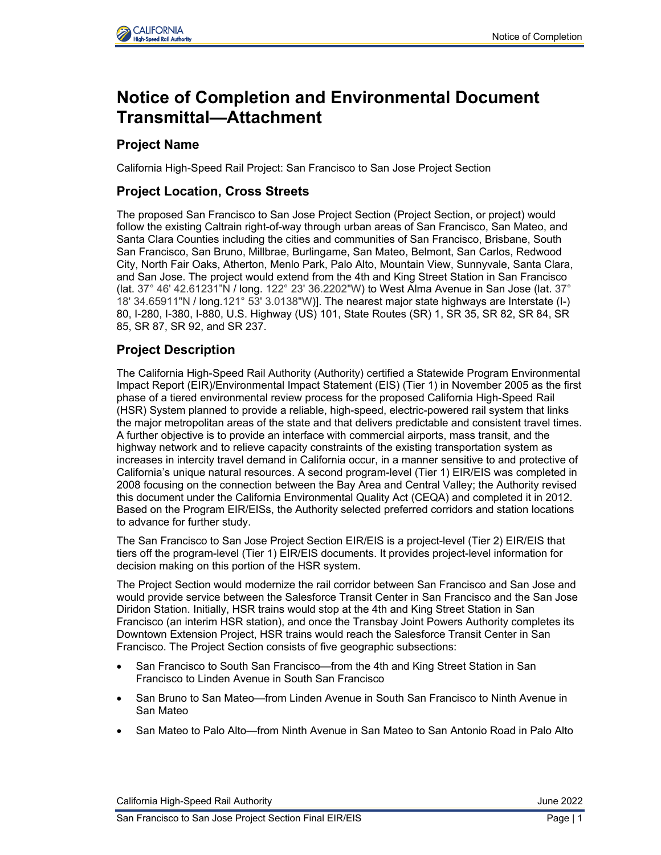

# **Notice of Completion and Environmental Document Transmittal—Attachment**

# **Project Name**

California High-Speed Rail Project: San Francisco to San Jose Project Section

### **Project Location, Cross Streets**

The proposed San Francisco to San Jose Project Section (Project Section, or project) would follow the existing Caltrain right-of-way through urban areas of San Francisco, San Mateo, and Santa Clara Counties including the cities and communities of San Francisco, Brisbane, South San Francisco, San Bruno, Millbrae, Burlingame, San Mateo, Belmont, San Carlos, Redwood City, North Fair Oaks, Atherton, Menlo Park, Palo Alto, Mountain View, Sunnyvale, Santa Clara, and San Jose. The project would extend from the 4th and King Street Station in San Francisco (lat. 37° 46' 42.61231"N / long. 122° 23' 36.2202"W) to West Alma Avenue in San Jose (lat. 37° 18' 34.65911"N / long.121° 53' 3.0138"W)]. The nearest major state highways are Interstate (I-) 80, I-280, I-380, I-880, U.S. Highway (US) 101, State Routes (SR) 1, SR 35, SR 82, SR 84, SR 85, SR 87, SR 92, and SR 237.

## **Project Description**

The California High-Speed Rail Authority (Authority) certified a Statewide Program Environmental Impact Report (EIR)/Environmental Impact Statement (EIS) (Tier 1) in November 2005 as the first phase of a tiered environmental review process for the proposed California High-Speed Rail (HSR) System planned to provide a reliable, high-speed, electric-powered rail system that links the major metropolitan areas of the state and that delivers predictable and consistent travel times. A further objective is to provide an interface with commercial airports, mass transit, and the highway network and to relieve capacity constraints of the existing transportation system as increases in intercity travel demand in California occur, in a manner sensitive to and protective of California's unique natural resources. A second program-level (Tier 1) EIR/EIS was completed in 2008 focusing on the connection between the Bay Area and Central Valley; the Authority revised this document under the California Environmental Quality Act (CEQA) and completed it in 2012. Based on the Program EIR/EISs, the Authority selected preferred corridors and station locations to advance for further study.

The San Francisco to San Jose Project Section EIR/EIS is a project-level (Tier 2) EIR/EIS that tiers off the program-level (Tier 1) EIR/EIS documents. It provides project-level information for decision making on this portion of the HSR system.

The Project Section would modernize the rail corridor between San Francisco and San Jose and would provide service between the Salesforce Transit Center in San Francisco and the San Jose Diridon Station. Initially, HSR trains would stop at the 4th and King Street Station in San Francisco (an interim HSR station), and once the Transbay Joint Powers Authority completes its Downtown Extension Project, HSR trains would reach the Salesforce Transit Center in San Francisco. The Project Section consists of five geographic subsections:

- San Francisco to South San Francisco—from the 4th and King Street Station in San Francisco to Linden Avenue in South San Francisco
- San Bruno to San Mateo—from Linden Avenue in South San Francisco to Ninth Avenue in San Mateo
- San Mateo to Palo Alto—from Ninth Avenue in San Mateo to San Antonio Road in Palo Alto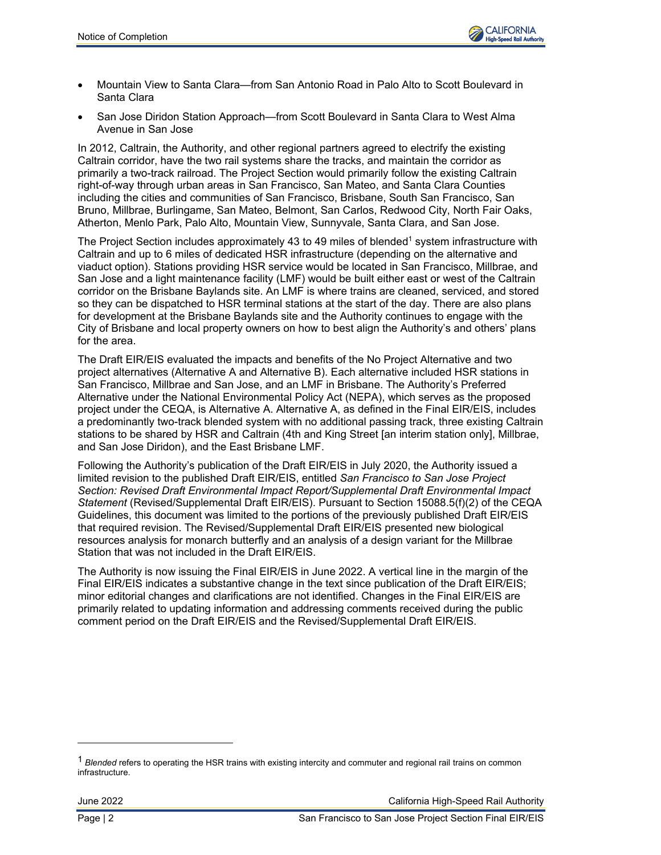

- Mountain View to Santa Clara—from San Antonio Road in Palo Alto to Scott Boulevard in Santa Clara
- San Jose Diridon Station Approach—from Scott Boulevard in Santa Clara to West Alma Avenue in San Jose

In 2012, Caltrain, the Authority, and other regional partners agreed to electrify the existing Caltrain corridor, have the two rail systems share the tracks, and maintain the corridor as primarily a two-track railroad. The Project Section would primarily follow the existing Caltrain right-of-way through urban areas in San Francisco, San Mateo, and Santa Clara Counties including the cities and communities of San Francisco, Brisbane, South San Francisco, San Bruno, Millbrae, Burlingame, San Mateo, Belmont, San Carlos, Redwood City, North Fair Oaks, Atherton, Menlo Park, Palo Alto, Mountain View, Sunnyvale, Santa Clara, and San Jose.

The Project Section includes approximately 43 to 49 miles of blended<sup>1</sup> system infrastructure with Caltrain and up to 6 miles of dedicated HSR infrastructure (depending on the alternative and viaduct option). Stations providing HSR service would be located in San Francisco, Millbrae, and San Jose and a light maintenance facility (LMF) would be built either east or west of the Caltrain corridor on the Brisbane Baylands site. An LMF is where trains are cleaned, serviced, and stored so they can be dispatched to HSR terminal stations at the start of the day. There are also plans for development at the Brisbane Baylands site and the Authority continues to engage with the City of Brisbane and local property owners on how to best align the Authority's and others' plans for the area.

The Draft EIR/EIS evaluated the impacts and benefits of the No Project Alternative and two project alternatives (Alternative A and Alternative B). Each alternative included HSR stations in San Francisco, Millbrae and San Jose, and an LMF in Brisbane. The Authority's Preferred Alternative under the National Environmental Policy Act (NEPA), which serves as the proposed project under the CEQA, is Alternative A. Alternative A, as defined in the Final EIR/EIS, includes a predominantly two-track blended system with no additional passing track, three existing Caltrain stations to be shared by HSR and Caltrain (4th and King Street [an interim station only], Millbrae, and San Jose Diridon), and the East Brisbane LMF.

Following the Authority's publication of the Draft EIR/EIS in July 2020, the Authority issued a limited revision to the published Draft EIR/EIS, entitled *San Francisco to San Jose Project Section: Revised Draft Environmental Impact Report/Supplemental Draft Environmental Impact Statement* (Revised/Supplemental Draft EIR/EIS). Pursuant to Section 15088.5(f)(2) of the CEQA Guidelines, this document was limited to the portions of the previously published Draft EIR/EIS that required revision. The Revised/Supplemental Draft EIR/EIS presented new biological resources analysis for monarch butterfly and an analysis of a design variant for the Millbrae Station that was not included in the Draft EIR/EIS.

The Authority is now issuing the Final EIR/EIS in June 2022. A vertical line in the margin of the Final EIR/EIS indicates a substantive change in the text since publication of the Draft EIR/EIS; minor editorial changes and clarifications are not identified. Changes in the Final EIR/EIS are primarily related to updating information and addressing comments received during the public comment period on the Draft EIR/EIS and the Revised/Supplemental Draft EIR/EIS.

June 2022 California High-Speed Rail Authority

<sup>1</sup> *Blended* refers to operating the HSR trains with existing intercity and commuter and regional rail trains on common infrastructure.